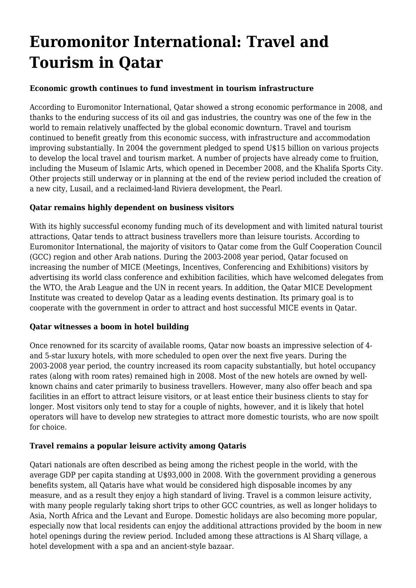# **Euromonitor International: Travel and Tourism in Qatar**

## **Economic growth continues to fund investment in tourism infrastructure**

According to Euromonitor International, Qatar showed a strong economic performance in 2008, and thanks to the enduring success of its oil and gas industries, the country was one of the few in the world to remain relatively unaffected by the global economic downturn. Travel and tourism continued to benefit greatly from this economic success, with infrastructure and accommodation improving substantially. In 2004 the government pledged to spend U\$15 billion on various projects to develop the local travel and tourism market. A number of projects have already come to fruition, including the Museum of Islamic Arts, which opened in December 2008, and the Khalifa Sports City. Other projects still underway or in planning at the end of the review period included the creation of a new city, Lusail, and a reclaimed-land Riviera development, the Pearl.

## **Qatar remains highly dependent on business visitors**

With its highly successful economy funding much of its development and with limited natural tourist attractions, Qatar tends to attract business travellers more than leisure tourists. According to Euromonitor International, the majority of visitors to Qatar come from the Gulf Cooperation Council (GCC) region and other Arab nations. During the 2003-2008 year period, Qatar focused on increasing the number of MICE (Meetings, Incentives, Conferencing and Exhibitions) visitors by advertising its world class conference and exhibition facilities, which have welcomed delegates from the WTO, the Arab League and the UN in recent years. In addition, the Qatar MICE Development Institute was created to develop Qatar as a leading events destination. Its primary goal is to cooperate with the government in order to attract and host successful MICE events in Qatar.

#### **Qatar witnesses a boom in hotel building**

Once renowned for its scarcity of available rooms, Qatar now boasts an impressive selection of 4 and 5-star luxury hotels, with more scheduled to open over the next five years. During the 2003-2008 year period, the country increased its room capacity substantially, but hotel occupancy rates (along with room rates) remained high in 2008. Most of the new hotels are owned by wellknown chains and cater primarily to business travellers. However, many also offer beach and spa facilities in an effort to attract leisure visitors, or at least entice their business clients to stay for longer. Most visitors only tend to stay for a couple of nights, however, and it is likely that hotel operators will have to develop new strategies to attract more domestic tourists, who are now spoilt for choice.

## **Travel remains a popular leisure activity among Qataris**

Qatari nationals are often described as being among the richest people in the world, with the average GDP per capita standing at U\$93,000 in 2008. With the government providing a generous benefits system, all Qataris have what would be considered high disposable incomes by any measure, and as a result they enjoy a high standard of living. Travel is a common leisure activity, with many people regularly taking short trips to other GCC countries, as well as longer holidays to Asia, North Africa and the Levant and Europe. Domestic holidays are also becoming more popular, especially now that local residents can enjoy the additional attractions provided by the boom in new hotel openings during the review period. Included among these attractions is Al Sharq village, a hotel development with a spa and an ancient-style bazaar.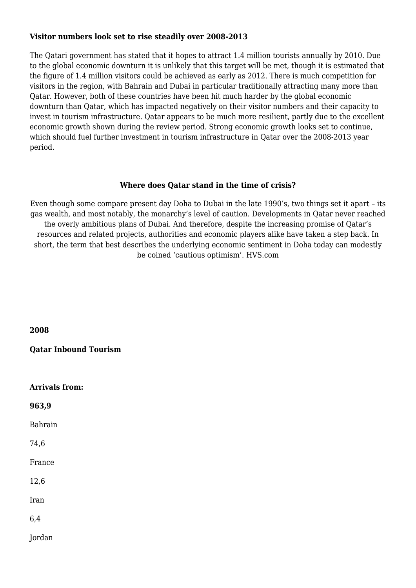#### **Visitor numbers look set to rise steadily over 2008-2013**

The Qatari government has stated that it hopes to attract 1.4 million tourists annually by 2010. Due to the global economic downturn it is unlikely that this target will be met, though it is estimated that the figure of 1.4 million visitors could be achieved as early as 2012. There is much competition for visitors in the region, with Bahrain and Dubai in particular traditionally attracting many more than Qatar. However, both of these countries have been hit much harder by the global economic downturn than Qatar, which has impacted negatively on their visitor numbers and their capacity to invest in tourism infrastructure. Qatar appears to be much more resilient, partly due to the excellent economic growth shown during the review period. Strong economic growth looks set to continue, which should fuel further investment in tourism infrastructure in Qatar over the 2008-2013 year period.

## **Where does Qatar stand in the time of crisis?**

Even though some compare present day Doha to Dubai in the late 1990's, two things set it apart – its gas wealth, and most notably, the monarchy's level of caution. Developments in Qatar never reached the overly ambitious plans of Dubai. And therefore, despite the increasing promise of Qatar's resources and related projects, authorities and economic players alike have taken a step back. In short, the term that best describes the underlying economic sentiment in Doha today can modestly be coined 'cautious optimism'. HVS.com

| 2008                         |
|------------------------------|
| <b>Qatar Inbound Tourism</b> |
|                              |
| <b>Arrivals from:</b>        |
| 963,9                        |
| <b>Bahrain</b>               |
| 74,6                         |
| France                       |
| 12,6                         |
| Iran                         |
| 6,4                          |
| Jordan                       |
|                              |
|                              |